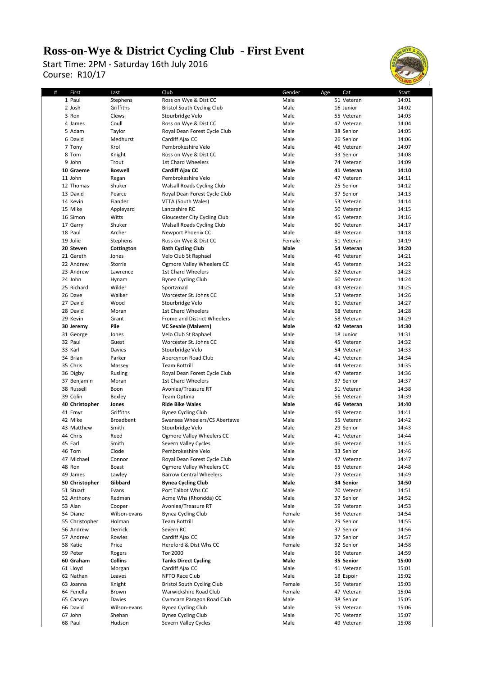## **Ross-on-Wye & District Cycling Club - First Event**

Course: R10/17 Start Time: 2PM - Saturday 16th July 2016



| # | First          | Last             | Club                              | Gender<br>Age | Cat        | Start |
|---|----------------|------------------|-----------------------------------|---------------|------------|-------|
|   | 1 Paul         | Stephens         | Ross on Wye & Dist CC             | Male          | 51 Veteran | 14:01 |
|   | 2 Josh         | Griffiths        | <b>Bristol South Cycling Club</b> | Male          | 16 Junior  | 14:02 |
|   | 3 Ron          |                  |                                   | Male          | 55 Veteran | 14:03 |
|   |                | Clews            | Stourbridge Velo                  |               |            |       |
|   | 4 James        | Coull            | Ross on Wye & Dist CC             | Male          | 47 Veteran | 14:04 |
|   | 5 Adam         | Taylor           | Royal Dean Forest Cycle Club      | Male          | 38 Senior  | 14:05 |
|   | 6 David        | Medhurst         | Cardiff Ajax CC                   | Male          | 26 Senior  | 14:06 |
|   | 7 Tony         | Krol             | Pembrokeshire Velo                | Male          | 46 Veteran | 14:07 |
|   | 8 Tom          | Knight           | Ross on Wye & Dist CC             | Male          | 33 Senior  | 14:08 |
|   | 9 John         | Trout            | 1st Chard Wheelers                | Male          | 74 Veteran | 14:09 |
|   | 10 Graeme      | <b>Boswell</b>   | Cardiff Ajax CC                   | Male          | 41 Veteran | 14:10 |
|   | 11 John        | Regan            | Pembrokeshire Velo                | Male          | 47 Veteran | 14:11 |
|   | 12 Thomas      |                  |                                   |               |            |       |
|   |                | Shuker           | <b>Walsall Roads Cycling Club</b> | Male          | 25 Senior  | 14:12 |
|   | 13 David       | Pearce           | Royal Dean Forest Cycle Club      | Male          | 37 Senior  | 14:13 |
|   | 14 Kevin       | Fiander          | VTTA (South Wales)                | Male          | 53 Veteran | 14:14 |
|   | 15 Mike        | Appleyard        | Lancashire RC                     | Male          | 50 Veteran | 14:15 |
|   | 16 Simon       | Witts            | Gloucester City Cycling Club      | Male          | 45 Veteran | 14:16 |
|   | 17 Garry       | Shuker           | Walsall Roads Cycling Club        | Male          | 60 Veteran | 14:17 |
|   | 18 Paul        | Archer           | Newport Phoenix CC                | Male          | 48 Veteran | 14:18 |
|   | 19 Julie       | Stephens         | Ross on Wye & Dist CC             | Female        | 51 Veteran | 14:19 |
|   | 20 Steven      | Cottington       | <b>Bath Cycling Club</b>          | Male          | 54 Veteran | 14:20 |
|   | 21 Gareth      | Jones            | Velo Club St Raphael              | Male          | 46 Veteran | 14:21 |
|   |                |                  |                                   |               |            |       |
|   | 22 Andrew      | Storrie          | Ogmore Valley Wheelers CC         | Male          | 45 Veteran | 14:22 |
|   | 23 Andrew      | Lawrence         | 1st Chard Wheelers                | Male          | 52 Veteran | 14:23 |
|   | 24 John        | Hynam            | <b>Bynea Cycling Club</b>         | Male          | 60 Veteran | 14:24 |
|   | 25 Richard     | Wilder           | Sportzmad                         | Male          | 43 Veteran | 14:25 |
|   | 26 Dave        | Walker           | Worcester St. Johns CC            | Male          | 53 Veteran | 14:26 |
|   | 27 David       | Wood             | Stourbridge Velo                  | Male          | 61 Veteran | 14:27 |
|   | 28 David       | Moran            | 1st Chard Wheelers                | Male          | 68 Veteran | 14:28 |
|   | 29 Kevin       | Grant            | Frome and District Wheelers       | Male          | 58 Veteran | 14:29 |
|   | 30 Jeremy      | Pile             | VC Sevale (Malvern)               | Male          | 42 Veteran | 14:30 |
|   |                |                  |                                   |               |            |       |
|   | 31 George      | Jones            | Velo Club St Raphael              | Male          | 18 Junior  | 14:31 |
|   | 32 Paul        | Guest            | Worcester St. Johns CC            | Male          | 45 Veteran | 14:32 |
|   | 33 Karl        | Davies           | Stourbridge Velo                  | Male          | 54 Veteran | 14:33 |
|   | 34 Brian       | Parker           | Abercynon Road Club               | Male          | 41 Veteran | 14:34 |
|   | 35 Chris       | Massey           | <b>Team Bottrill</b>              | Male          | 44 Veteran | 14:35 |
|   | 36 Digby       | Rusling          | Royal Dean Forest Cycle Club      | Male          | 47 Veteran | 14:36 |
|   | 37 Benjamin    | Moran            | 1st Chard Wheelers                | Male          | 37 Senior  | 14:37 |
|   | 38 Russell     | Boon             | Avonlea/Treasure RT               | Male          | 51 Veteran | 14:38 |
|   | 39 Colin       |                  | Team Optima                       | Male          | 56 Veteran | 14:39 |
|   |                | Bexley           | <b>Ride Bike Wales</b>            |               | 46 Veteran |       |
|   | 40 Christopher | Jones            |                                   | Male          |            | 14:40 |
|   | 41 Emyr        | Griffiths        | <b>Bynea Cycling Club</b>         | Male          | 49 Veteran | 14:41 |
|   | 42 Mike        | <b>Broadbent</b> | Swansea Wheelers/CS Abertawe      | Male          | 55 Veteran | 14:42 |
|   | 43 Matthew     | Smith            | Stourbridge Velo                  | Male          | 29 Senior  | 14:43 |
|   | 44 Chris       | Reed             | Ogmore Valley Wheelers CC         | Male          | 41 Veteran | 14:44 |
|   | 45 Earl        | Smith            | Severn Valley Cycles              | Male          | 46 Veteran | 14:45 |
|   | 46 Tom         | Clode            | Pembrokeshire Velo                | Male          | 33 Senior  | 14:46 |
|   | 47 Michael     | Connor           | Royal Dean Forest Cycle Club      | Male          | 47 Veteran | 14:47 |
|   | 48 Ron         | Boast            | Ogmore Valley Wheelers CC         | Male          | 65 Veteran | 14:48 |
|   | 49 James       | Lawley           | <b>Barrow Central Wheelers</b>    | Male          | 73 Veteran | 14:49 |
|   | 50 Christopher | Gibbard          |                                   | Male          |            | 14:50 |
|   |                |                  | <b>Bynea Cycling Club</b>         |               | 34 Senior  |       |
|   | 51 Stuart      | Evans            | Port Talbot Whs CC                | Male          | 70 Veteran | 14:51 |
|   | 52 Anthony     | Redman           | Acme Whs (Rhondda) CC             | Male          | 37 Senior  | 14:52 |
|   | 53 Alan        | Cooper           | Avonlea/Treasure RT               | Male          | 59 Veteran | 14:53 |
|   | 54 Diane       | Wilson-evans     | <b>Bynea Cycling Club</b>         | Female        | 56 Veteran | 14:54 |
|   | 55 Christopher | Holman           | <b>Team Bottrill</b>              | Male          | 29 Senior  | 14:55 |
|   | 56 Andrew      | Derrick          | Severn RC                         | Male          | 37 Senior  | 14:56 |
|   | 57 Andrew      | Rowles           | Cardiff Ajax CC                   | Male          | 37 Senior  | 14:57 |
|   | 58 Katie       | Price            | Hereford & Dist Whs CC            | Female        | 32 Senior  | 14:58 |
|   | 59 Peter       | Rogers           | Tor 2000                          | Male          | 66 Veteran | 14:59 |
|   |                |                  |                                   |               |            |       |
|   | 60 Graham      | Collins          | <b>Tanks Direct Cycling</b>       | Male          | 35 Senior  | 15:00 |
|   | 61 Lloyd       | Morgan           | Cardiff Ajax CC                   | Male          | 41 Veteran | 15:01 |
|   | 62 Nathan      | Leaves           | NFTO Race Club                    | Male          | 18 Espoir  | 15:02 |
|   | 63 Joanna      | Knight           | <b>Bristol South Cycling Club</b> | Female        | 56 Veteran | 15:03 |
|   | 64 Fenella     | Brown            | Warwickshire Road Club            | Female        | 47 Veteran | 15:04 |
|   | 65 Carwyn      | Davies           | Cwmcarn Paragon Road Club         | Male          | 38 Senior  | 15:05 |
|   | 66 David       | Wilson-evans     | <b>Bynea Cycling Club</b>         | Male          | 59 Veteran | 15:06 |
|   | 67 John        | Shehan           | <b>Bynea Cycling Club</b>         | Male          | 70 Veteran | 15:07 |
|   | 68 Paul        | Hudson           | Severn Valley Cycles              | Male          | 49 Veteran | 15:08 |
|   |                |                  |                                   |               |            |       |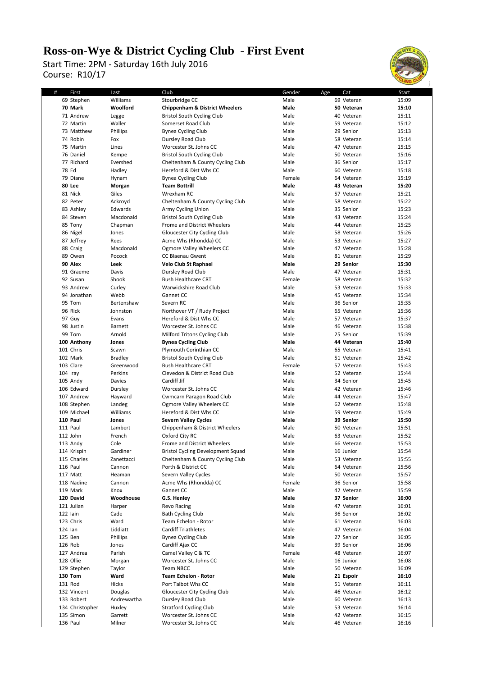## **Ross-on-Wye & District Cycling Club - First Event**

Course: R10/17 Start Time: 2PM - Saturday 16th July 2016



| # | First           | Last           | Club                                      | Gender<br>Age | Cat        | Start |
|---|-----------------|----------------|-------------------------------------------|---------------|------------|-------|
|   | 69 Stephen      | Williams       | Stourbridge CC                            | Male          | 69 Veteran | 15:09 |
|   | 70 Mark         | Woolford       | <b>Chippenham &amp; District Wheelers</b> | Male          | 50 Veteran | 15:10 |
|   | 71 Andrew       | Legge          | <b>Bristol South Cycling Club</b>         | Male          | 40 Veteran | 15:11 |
|   |                 |                |                                           |               |            |       |
|   | 72 Martin       | Waller         | Somerset Road Club                        | Male          | 59 Veteran | 15:12 |
|   | 73 Matthew      | Phillips       | <b>Bynea Cycling Club</b>                 | Male          | 29 Senior  | 15:13 |
|   | 74 Robin        | Fox            | Dursley Road Club                         | Male          | 58 Veteran | 15:14 |
|   | 75 Martin       | Lines          | Worcester St. Johns CC                    | Male          | 47 Veteran | 15:15 |
|   | 76 Daniel       | Kempe          | <b>Bristol South Cycling Club</b>         | Male          | 50 Veteran | 15:16 |
|   | 77 Richard      | Evershed       | Cheltenham & County Cycling Club          | Male          | 36 Senior  | 15:17 |
|   |                 |                |                                           |               |            |       |
|   | 78 Ed           | Hadley         | Hereford & Dist Whs CC                    | Male          | 60 Veteran | 15:18 |
|   | 79 Diane        | Hynam          | <b>Bynea Cycling Club</b>                 | Female        | 64 Veteran | 15:19 |
|   | 80 Lee          | Morgan         | <b>Team Bottrill</b>                      | Male          | 43 Veteran | 15:20 |
|   | 81 Nick         | Giles          | Wrexham RC                                | Male          | 57 Veteran | 15:21 |
|   | 82 Peter        | Ackroyd        | Cheltenham & County Cycling Club          | Male          | 58 Veteran | 15:22 |
|   | 83 Ashley       | Edwards        | Army Cycling Union                        | Male          | 35 Senior  | 15:23 |
|   | 84 Steven       | Macdonald      | <b>Bristol South Cycling Club</b>         | Male          | 43 Veteran | 15:24 |
|   |                 |                |                                           | Male          |            | 15:25 |
|   | 85 Tony         | Chapman        | Frome and District Wheelers               |               | 44 Veteran |       |
|   | 86 Nigel        | Jones          | Gloucester City Cycling Club              | Male          | 58 Veteran | 15:26 |
|   | 87 Jeffrey      | Rees           | Acme Whs (Rhondda) CC                     | Male          | 53 Veteran | 15:27 |
|   | 88 Craig        | Macdonald      | <b>Ogmore Valley Wheelers CC</b>          | Male          | 47 Veteran | 15:28 |
|   | 89 Owen         | Pocock         | CC Blaenau Gwent                          | Male          | 81 Veteran | 15:29 |
|   | 90 Alex         | Leek           | <b>Velo Club St Raphael</b>               | Male          | 29 Senior  | 15:30 |
|   | 91 Graeme       | Davis          | Dursley Road Club                         | Male          | 47 Veteran | 15:31 |
|   |                 |                |                                           |               |            |       |
|   | 92 Susan        | Shook          | <b>Bush Healthcare CRT</b>                | Female        | 58 Veteran | 15:32 |
|   | 93 Andrew       | Curley         | Warwickshire Road Club                    | Male          | 53 Veteran | 15:33 |
|   | 94 Jonathan     | Webb           | Gannet CC                                 | Male          | 45 Veteran | 15:34 |
|   | 95 Tom          | Bertenshaw     | Severn RC                                 | Male          | 36 Senior  | 15:35 |
|   | 96 Rick         | Johnston       | Northover VT / Rudy Project               | Male          | 65 Veteran | 15:36 |
|   | 97 Guy          | Evans          | Hereford & Dist Whs CC                    | Male          | 57 Veteran | 15:37 |
|   | 98 Justin       | <b>Barnett</b> | Worcester St. Johns CC                    | Male          | 46 Veteran | 15:38 |
|   | 99 Tom          | Arnold         | Milford Tritons Cycling Club              | Male          | 25 Senior  | 15:39 |
|   |                 |                |                                           |               |            |       |
|   | 100 Anthony     | Jones          | <b>Bynea Cycling Club</b>                 | Male          | 44 Veteran | 15:40 |
|   | 101 Chris       | Scawn          | Plymouth Corinthian CC                    | Male          | 65 Veteran | 15:41 |
|   | 102 Mark        | <b>Bradley</b> | <b>Bristol South Cycling Club</b>         | Male          | 51 Veteran | 15:42 |
|   | 103 Clare       | Greenwood      | <b>Bush Healthcare CRT</b>                | Female        | 57 Veteran | 15:43 |
|   | $104$ ray       | Perkins        | Clevedon & District Road Club             | Male          | 52 Veteran | 15:44 |
|   | 105 Andy        | Davies         | Cardiff Jif                               | Male          | 34 Senior  | 15:45 |
|   | 106 Edward      | Dursley        | Worcester St. Johns CC                    | Male          | 42 Veteran | 15:46 |
|   | 107 Andrew      | Hayward        | Cwmcarn Paragon Road Club                 | Male          | 44 Veteran | 15:47 |
|   |                 |                |                                           |               |            |       |
|   | 108 Stephen     | Landeg         | Ogmore Valley Wheelers CC                 | Male          | 62 Veteran | 15:48 |
|   | 109 Michael     | Williams       | Hereford & Dist Whs CC                    | Male          | 59 Veteran | 15:49 |
|   | 110 Paul        | Jones          | <b>Severn Valley Cycles</b>               | Male          | 39 Senior  | 15:50 |
|   | 111 Paul        | Lambert        | Chippenham & District Wheelers            | Male          | 50 Veteran | 15:51 |
|   | 112 John        | French         | Oxford City RC                            | Male          | 63 Veteran | 15:52 |
|   | 113 Andy        | Cole           | Frome and District Wheelers               | Male          | 66 Veteran | 15:53 |
|   |                 |                |                                           |               |            |       |
|   | 114 Krispin     | Gardiner       | Bristol Cycling Development Squad         | Male          | 16 Junior  | 15:54 |
|   | 115 Charles     | Zanettacci     | Cheltenham & County Cycling Club          | Male          | 53 Veteran | 15:55 |
|   | 116 Paul        | Cannon         | Porth & District CC                       | Male          | 64 Veteran | 15:56 |
|   | 117 Matt        | Heaman         | Severn Valley Cycles                      | Male          | 50 Veteran | 15:57 |
|   | 118 Nadine      | Cannon         | Acme Whs (Rhondda) CC                     | Female        | 36 Senior  | 15:58 |
|   | 119 Mark        | Knox           | Gannet CC                                 | Male          | 42 Veteran | 15:59 |
|   | 120 David       | Woodhouse      | G.S. Henley                               | Male          | 37 Senior  | 16:00 |
|   | 121 Julian      | Harper         | Revo Racing                               | Male          | 47 Veteran | 16:01 |
|   |                 |                |                                           |               |            |       |
|   | 122 lain        | Cade           | <b>Bath Cycling Club</b>                  | Male          | 36 Senior  | 16:02 |
|   | 123 Chris       | Ward           | Team Echelon - Rotor                      | Male          | 61 Veteran | 16:03 |
|   | $124$ lan       | Liddiatt       | <b>Cardiff Triathletes</b>                | Male          | 47 Veteran | 16:04 |
|   | 125 Ben         | Phillips       | <b>Bynea Cycling Club</b>                 | Male          | 27 Senior  | 16:05 |
|   | 126 Rob         | Jones          | Cardiff Ajax CC                           | Male          | 39 Senior  | 16:06 |
|   | 127 Andrea      | Parish         | Camel Valley C & TC                       | Female        | 48 Veteran | 16:07 |
|   | 128 Ollie       | Morgan         | Worcester St. Johns CC                    | Male          | 16 Junior  | 16:08 |
|   | 129 Stephen     | Taylor         | Team NBCC                                 | Male          | 50 Veteran | 16:09 |
|   |                 |                |                                           |               |            |       |
|   | 130 Tom         | Ward           | <b>Team Echelon - Rotor</b>               | Male          | 21 Espoir  | 16:10 |
|   | 131 Rod         | Hicks          | Port Talbot Whs CC                        | Male          | 51 Veteran | 16:11 |
|   | 132 Vincent     | Douglas        | Gloucester City Cycling Club              | Male          | 46 Veteran | 16:12 |
|   | 133 Robert      | Andrewartha    | Dursley Road Club                         | Male          | 60 Veteran | 16:13 |
|   | 134 Christopher | Huxley         | <b>Stratford Cycling Club</b>             | Male          | 53 Veteran | 16:14 |
|   | 135 Simon       | Garrett        | Worcester St. Johns CC                    | Male          | 42 Veteran | 16:15 |
|   | 136 Paul        | Milner         | Worcester St. Johns CC                    | Male          | 46 Veteran | 16:16 |
|   |                 |                |                                           |               |            |       |